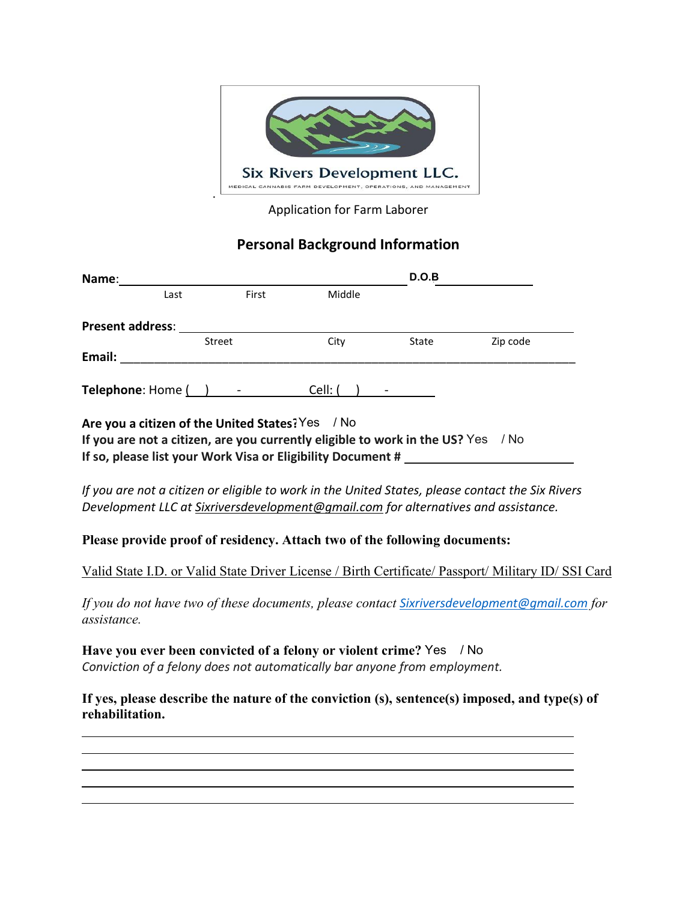

Application for Farm Laborer

## **Personal Background Information**

| Name:                   |      |                                                  |         | D.O.B |          |
|-------------------------|------|--------------------------------------------------|---------|-------|----------|
|                         | Last | First                                            | Middle  |       |          |
| <b>Present address:</b> |      |                                                  |         |       |          |
|                         |      | Street                                           | City    | State | Zip code |
| Email:                  |      |                                                  |         |       |          |
| Telephone: Home () -    |      |                                                  | Cell: ( |       |          |
|                         |      | Are you a citizen of the United States? Yes / No |         |       |          |

**If you are not a citizen, are you currently eligible to work in the US?** Yes / No **If so, please list your Work Visa or Eligibility Document #** .

*If you are not a citizen or eligible to work in the United States, please contact the Six Rivers Development LLC at Sixriversdevelopment@gmail.com for alternatives and assistance.* 

**Please provide proof of residency. Attach two of the following documents:** 

Valid State I.D. or Valid State Driver License / Birth Certificate/ Passport/ Military ID/ SSI Card

*If you do not have two of these documents, please contact Sixriversdevelopment@gmail.com for assistance.* 

**Have you ever been convicted of a felony or violent crime? Yes / No** *Conviction of a felony does not automatically bar anyone from employment.*

l

**If yes, please describe the nature of the conviction (s), sentence(s) imposed, and type(s) of rehabilitation.** 

<u>. Andre Sterne and Sterne and Sterne and Sterne and Sterne and Sterne and Sterne and Sterne and Sterne and St</u> <u>. Andre Sterne and Sterne and Sterne and Sterne and Sterne and Sterne and Sterne and Sterne and Sterne and St</u>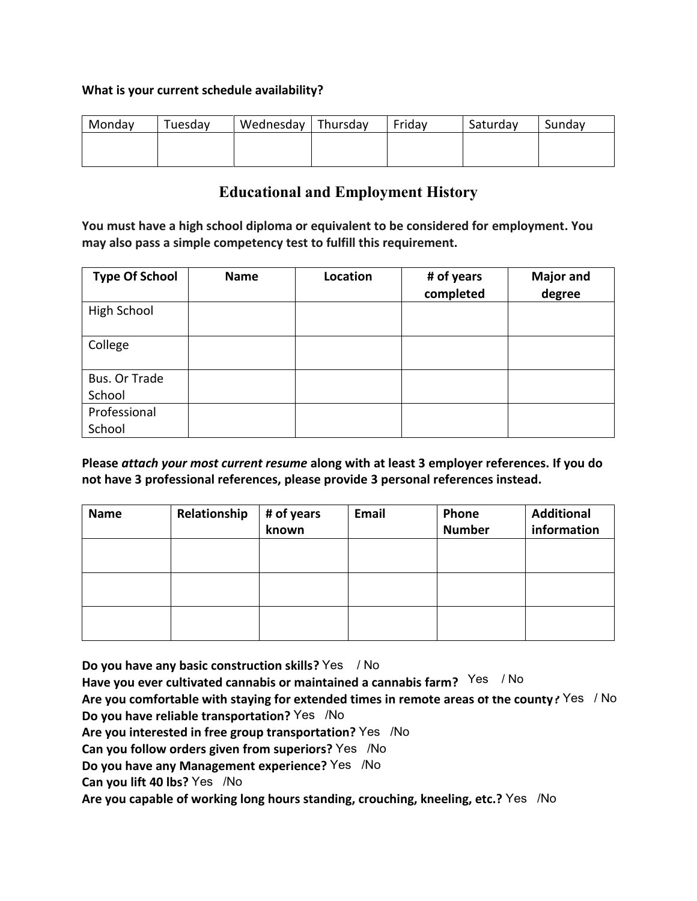## **What is your current schedule availability?**

| Monday | Tuesday | Wednesday   Thursday | Fridav | Saturday | Sundav |
|--------|---------|----------------------|--------|----------|--------|
|        |         |                      |        |          |        |
|        |         |                      |        |          |        |

## **Educational and Employment History**

**You must have a high school diploma or equivalent to be considered for employment. You may also pass a simple competency test to fulfill this requirement.**

| <b>Type Of School</b> | <b>Name</b> | Location | # of years<br>completed | <b>Major and</b><br>degree |
|-----------------------|-------------|----------|-------------------------|----------------------------|
| High School           |             |          |                         |                            |
| College               |             |          |                         |                            |
| Bus. Or Trade         |             |          |                         |                            |
| School                |             |          |                         |                            |
| Professional          |             |          |                         |                            |
| School                |             |          |                         |                            |

**Please** *attach your most current resume* **along with at least 3 employer references. If you do not have 3 professional references, please provide 3 personal references instead.** 

| <b>Name</b> | Relationship | # of years<br>known | Email | Phone<br><b>Number</b> | <b>Additional</b><br>information |
|-------------|--------------|---------------------|-------|------------------------|----------------------------------|
|             |              |                     |       |                        |                                  |
|             |              |                     |       |                        |                                  |
|             |              |                     |       |                        |                                  |

**Do you have any basic construction skills?** Yes / No

**Have you ever cultivated cannabis or maintained a cannabis farm?**  $^{Yes}$  / No

Are you comfortable with staying for extended times in remote areas ot the county? Yes / No

**Do you have reliable transportation?** Yes /No

Are you interested in free group transportation? Yes /No

Can you follow orders given from superiors? Yes /No

**Do you have any Management experience?** Yes /No

**Can you lift 40 lbs?** Yes /No

Are you capable of working long hours standing, crouching, kneeling, etc.? Yes /No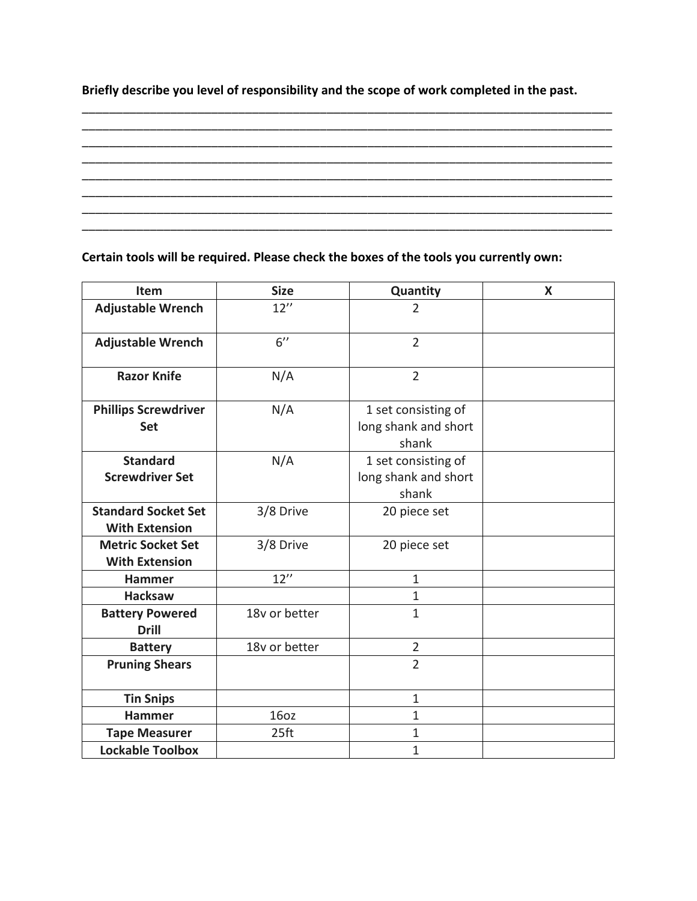**Briefly describe you level of responsibility and the scope of work completed in the past.**

\_\_\_\_\_\_\_\_\_\_\_\_\_\_\_\_\_\_\_\_\_\_\_\_\_\_\_\_\_\_\_\_\_\_\_\_\_\_\_\_\_\_\_\_\_\_\_\_\_\_\_\_\_\_\_\_\_\_\_\_\_\_\_\_\_\_\_\_\_\_\_\_\_\_\_\_\_\_ \_\_\_\_\_\_\_\_\_\_\_\_\_\_\_\_\_\_\_\_\_\_\_\_\_\_\_\_\_\_\_\_\_\_\_\_\_\_\_\_\_\_\_\_\_\_\_\_\_\_\_\_\_\_\_\_\_\_\_\_\_\_\_\_\_\_\_\_\_\_\_\_\_\_\_\_\_\_ \_\_\_\_\_\_\_\_\_\_\_\_\_\_\_\_\_\_\_\_\_\_\_\_\_\_\_\_\_\_\_\_\_\_\_\_\_\_\_\_\_\_\_\_\_\_\_\_\_\_\_\_\_\_\_\_\_\_\_\_\_\_\_\_\_\_\_\_\_\_\_\_\_\_\_\_\_\_ \_\_\_\_\_\_\_\_\_\_\_\_\_\_\_\_\_\_\_\_\_\_\_\_\_\_\_\_\_\_\_\_\_\_\_\_\_\_\_\_\_\_\_\_\_\_\_\_\_\_\_\_\_\_\_\_\_\_\_\_\_\_\_\_\_\_\_\_\_\_\_\_\_\_\_\_\_\_

\_\_\_\_\_\_\_\_\_\_\_\_\_\_\_\_\_\_\_\_\_\_\_\_\_\_\_\_\_\_\_\_\_\_\_\_\_\_\_\_\_\_\_\_\_\_\_\_\_\_\_\_\_\_\_\_\_\_\_\_\_\_\_\_\_\_\_\_\_\_\_\_\_\_\_\_\_\_ \_\_\_\_\_\_\_\_\_\_\_\_\_\_\_\_\_\_\_\_\_\_\_\_\_\_\_\_\_\_\_\_\_\_\_\_\_\_\_\_\_\_\_\_\_\_\_\_\_\_\_\_\_\_\_\_\_\_\_\_\_\_\_\_\_\_\_\_\_\_\_\_\_\_\_\_\_\_ \_\_\_\_\_\_\_\_\_\_\_\_\_\_\_\_\_\_\_\_\_\_\_\_\_\_\_\_\_\_\_\_\_\_\_\_\_\_\_\_\_\_\_\_\_\_\_\_\_\_\_\_\_\_\_\_\_\_\_\_\_\_\_\_\_\_\_\_\_\_\_\_\_\_\_\_\_\_

**Certain tools will be required. Please check the boxes of the tools you currently own:**

| Item                                                | <b>Size</b>      | Quantity                                             | X |
|-----------------------------------------------------|------------------|------------------------------------------------------|---|
| <b>Adjustable Wrench</b>                            | 12''             | $\overline{2}$                                       |   |
| <b>Adjustable Wrench</b>                            | 6''              | $\overline{2}$                                       |   |
| <b>Razor Knife</b>                                  | N/A              | $\overline{2}$                                       |   |
| <b>Phillips Screwdriver</b><br><b>Set</b>           | N/A              | 1 set consisting of<br>long shank and short<br>shank |   |
| <b>Standard</b><br><b>Screwdriver Set</b>           | N/A              | 1 set consisting of<br>long shank and short<br>shank |   |
| <b>Standard Socket Set</b><br><b>With Extension</b> | 3/8 Drive        | 20 piece set                                         |   |
| <b>Metric Socket Set</b><br><b>With Extension</b>   | 3/8 Drive        | 20 piece set                                         |   |
| <b>Hammer</b>                                       | 12''             | $\mathbf{1}$                                         |   |
| <b>Hacksaw</b>                                      |                  | $\mathbf{1}$                                         |   |
| <b>Battery Powered</b><br><b>Drill</b>              | 18v or better    | $\mathbf{1}$                                         |   |
| <b>Battery</b>                                      | 18v or better    | $\overline{2}$                                       |   |
| <b>Pruning Shears</b>                               |                  | $\overline{2}$                                       |   |
| <b>Tin Snips</b>                                    |                  | $1\,$                                                |   |
| <b>Hammer</b>                                       | 16oz             | $\mathbf{1}$                                         |   |
| <b>Tape Measurer</b>                                | 25 <sub>ft</sub> | $\mathbf{1}$                                         |   |
| <b>Lockable Toolbox</b>                             |                  | $\mathbf{1}$                                         |   |